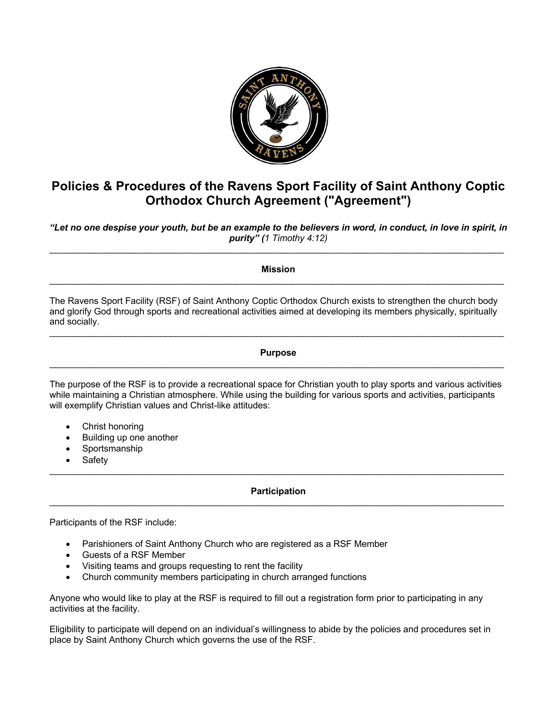

# **Policies & Procedures of the Ravens Sport Facility of Saint Anthony Coptic Orthodox Church Agreement ("Agreement")**

*"Let no one despise your youth, but be an example to the believers in word, in conduct, in love in spirit, in purity" (1 Timothy 4:12)* \_\_\_\_\_\_\_\_\_\_\_\_\_\_\_\_\_\_\_\_\_\_\_\_\_\_\_\_\_\_\_\_\_\_\_\_\_\_\_\_\_\_\_\_\_\_\_\_\_\_\_\_\_\_\_\_\_\_\_\_\_\_\_\_\_\_\_\_\_\_\_\_\_\_\_\_\_\_\_\_\_\_\_\_\_\_\_\_\_\_

**Mission**  $\mathcal{L}_\mathcal{L} = \mathcal{L}_\mathcal{L} = \mathcal{L}_\mathcal{L} = \mathcal{L}_\mathcal{L} = \mathcal{L}_\mathcal{L} = \mathcal{L}_\mathcal{L} = \mathcal{L}_\mathcal{L} = \mathcal{L}_\mathcal{L} = \mathcal{L}_\mathcal{L} = \mathcal{L}_\mathcal{L} = \mathcal{L}_\mathcal{L} = \mathcal{L}_\mathcal{L} = \mathcal{L}_\mathcal{L} = \mathcal{L}_\mathcal{L} = \mathcal{L}_\mathcal{L} = \mathcal{L}_\mathcal{L} = \mathcal{L}_\mathcal{L}$ 

The Ravens Sport Facility (RSF) of Saint Anthony Coptic Orthodox Church exists to strengthen the church body and glorify God through sports and recreational activities aimed at developing its members physically, spiritually and socially.

 $\mathcal{L}_\mathcal{L} = \mathcal{L}_\mathcal{L} = \mathcal{L}_\mathcal{L} = \mathcal{L}_\mathcal{L} = \mathcal{L}_\mathcal{L} = \mathcal{L}_\mathcal{L} = \mathcal{L}_\mathcal{L} = \mathcal{L}_\mathcal{L} = \mathcal{L}_\mathcal{L} = \mathcal{L}_\mathcal{L} = \mathcal{L}_\mathcal{L} = \mathcal{L}_\mathcal{L} = \mathcal{L}_\mathcal{L} = \mathcal{L}_\mathcal{L} = \mathcal{L}_\mathcal{L} = \mathcal{L}_\mathcal{L} = \mathcal{L}_\mathcal{L}$ 

## **Purpose**  $\mathcal{L}_\mathcal{L} = \mathcal{L}_\mathcal{L} = \mathcal{L}_\mathcal{L} = \mathcal{L}_\mathcal{L} = \mathcal{L}_\mathcal{L} = \mathcal{L}_\mathcal{L} = \mathcal{L}_\mathcal{L} = \mathcal{L}_\mathcal{L} = \mathcal{L}_\mathcal{L} = \mathcal{L}_\mathcal{L} = \mathcal{L}_\mathcal{L} = \mathcal{L}_\mathcal{L} = \mathcal{L}_\mathcal{L} = \mathcal{L}_\mathcal{L} = \mathcal{L}_\mathcal{L} = \mathcal{L}_\mathcal{L} = \mathcal{L}_\mathcal{L}$

The purpose of the RSF is to provide a recreational space for Christian youth to play sports and various activities while maintaining a Christian atmosphere. While using the building for various sports and activities, participants will exemplify Christian values and Christ-like attitudes:

- Christ honoring
- Building up one another
- Sportsmanship
- **Safety**

#### **Participation**  $\mathcal{L}_\mathcal{L} = \mathcal{L}_\mathcal{L} = \mathcal{L}_\mathcal{L} = \mathcal{L}_\mathcal{L} = \mathcal{L}_\mathcal{L} = \mathcal{L}_\mathcal{L} = \mathcal{L}_\mathcal{L} = \mathcal{L}_\mathcal{L} = \mathcal{L}_\mathcal{L} = \mathcal{L}_\mathcal{L} = \mathcal{L}_\mathcal{L} = \mathcal{L}_\mathcal{L} = \mathcal{L}_\mathcal{L} = \mathcal{L}_\mathcal{L} = \mathcal{L}_\mathcal{L} = \mathcal{L}_\mathcal{L} = \mathcal{L}_\mathcal{L}$

\_\_\_\_\_\_\_\_\_\_\_\_\_\_\_\_\_\_\_\_\_\_\_\_\_\_\_\_\_\_\_\_\_\_\_\_\_\_\_\_\_\_\_\_\_\_\_\_\_\_\_\_\_\_\_\_\_\_\_\_\_\_\_\_\_\_\_\_\_\_\_\_\_\_\_\_\_\_\_\_\_\_\_\_\_\_\_\_\_\_

Participants of the RSF include:

- Parishioners of Saint Anthony Church who are registered as a RSF Member
- Guests of a RSF Member
- Visiting teams and groups requesting to rent the facility
- Church community members participating in church arranged functions

Anyone who would like to play at the RSF is required to fill out a registration form prior to participating in any activities at the facility.

Eligibility to participate will depend on an individual's willingness to abide by the policies and procedures set in place by Saint Anthony Church which governs the use of the RSF.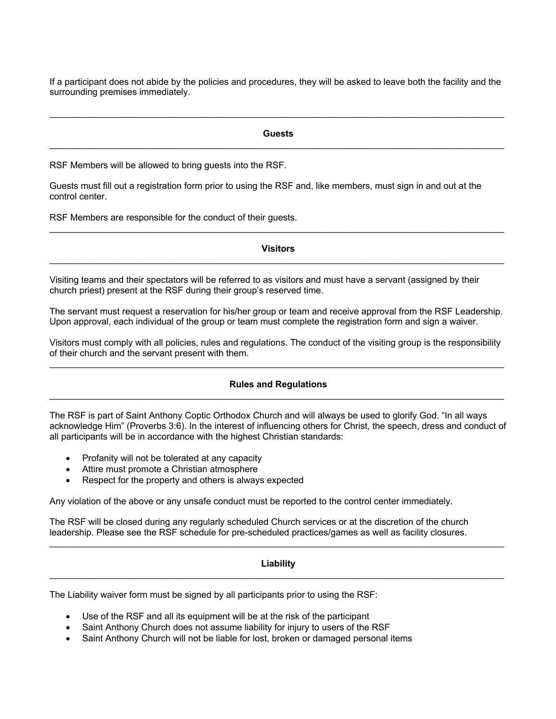If a participant does not abide by the policies and procedures, they will be asked to leave both the facility and the surrounding premises immediately.

\_\_\_\_\_\_\_\_\_\_\_\_\_\_\_\_\_\_\_\_\_\_\_\_\_\_\_\_\_\_\_\_\_\_\_\_\_\_\_\_\_\_\_\_\_\_\_\_\_\_\_\_\_\_\_\_\_\_\_\_\_\_\_\_\_\_\_\_\_\_\_\_\_\_\_\_\_\_\_\_\_\_\_\_\_\_\_\_\_\_

## **Guests** \_\_\_\_\_\_\_\_\_\_\_\_\_\_\_\_\_\_\_\_\_\_\_\_\_\_\_\_\_\_\_\_\_\_\_\_\_\_\_\_\_\_\_\_\_\_\_\_\_\_\_\_\_\_\_\_\_\_\_\_\_\_\_\_\_\_\_\_\_\_\_\_\_\_\_\_\_\_\_\_\_\_\_\_\_\_\_\_\_\_

RSF Members will be allowed to bring guests into the RSF.

Guests must fill out a registration form prior to using the RSF and, like members, must sign in and out at the control center.

RSF Members are responsible for the conduct of their guests.

#### **Visitors** \_\_\_\_\_\_\_\_\_\_\_\_\_\_\_\_\_\_\_\_\_\_\_\_\_\_\_\_\_\_\_\_\_\_\_\_\_\_\_\_\_\_\_\_\_\_\_\_\_\_\_\_\_\_\_\_\_\_\_\_\_\_\_\_\_\_\_\_\_\_\_\_\_\_\_\_\_\_\_\_\_\_\_\_\_\_\_\_\_\_

 $\mathcal{L}_\mathcal{L} = \mathcal{L}_\mathcal{L} = \mathcal{L}_\mathcal{L} = \mathcal{L}_\mathcal{L} = \mathcal{L}_\mathcal{L} = \mathcal{L}_\mathcal{L} = \mathcal{L}_\mathcal{L} = \mathcal{L}_\mathcal{L} = \mathcal{L}_\mathcal{L} = \mathcal{L}_\mathcal{L} = \mathcal{L}_\mathcal{L} = \mathcal{L}_\mathcal{L} = \mathcal{L}_\mathcal{L} = \mathcal{L}_\mathcal{L} = \mathcal{L}_\mathcal{L} = \mathcal{L}_\mathcal{L} = \mathcal{L}_\mathcal{L}$ 

Visiting teams and their spectators will be referred to as visitors and must have a servant (assigned by their church priest) present at the RSF during their group's reserved time.

The servant must request a reservation for his/her group or team and receive approval from the RSF Leadership. Upon approval, each individual of the group or team must complete the registration form and sign a waiver.

Visitors must comply with all policies, rules and regulations. The conduct of the visiting group is the responsibility of their church and the servant present with them.  $\mathcal{L}_\mathcal{L} = \mathcal{L}_\mathcal{L} = \mathcal{L}_\mathcal{L} = \mathcal{L}_\mathcal{L} = \mathcal{L}_\mathcal{L} = \mathcal{L}_\mathcal{L} = \mathcal{L}_\mathcal{L} = \mathcal{L}_\mathcal{L} = \mathcal{L}_\mathcal{L} = \mathcal{L}_\mathcal{L} = \mathcal{L}_\mathcal{L} = \mathcal{L}_\mathcal{L} = \mathcal{L}_\mathcal{L} = \mathcal{L}_\mathcal{L} = \mathcal{L}_\mathcal{L} = \mathcal{L}_\mathcal{L} = \mathcal{L}_\mathcal{L}$ 

#### **Rules and Regulations** \_\_\_\_\_\_\_\_\_\_\_\_\_\_\_\_\_\_\_\_\_\_\_\_\_\_\_\_\_\_\_\_\_\_\_\_\_\_\_\_\_\_\_\_\_\_\_\_\_\_\_\_\_\_\_\_\_\_\_\_\_\_\_\_\_\_\_\_\_\_\_\_\_\_\_\_\_\_\_\_\_\_\_\_\_\_\_\_\_\_

The RSF is part of Saint Anthony Coptic Orthodox Church and will always be used to glorify God. "In all ways acknowledge Him" (Proverbs 3:6). In the interest of influencing others for Christ, the speech, dress and conduct of all participants will be in accordance with the highest Christian standards:

- Profanity will not be tolerated at any capacity
- Attire must promote a Christian atmosphere
- Respect for the property and others is always expected

Any violation of the above or any unsafe conduct must be reported to the control center immediately.

The RSF will be closed during any regularly scheduled Church services or at the discretion of the church leadership. Please see the RSF schedule for pre-scheduled practices/games as well as facility closures.

## **Liability**  $\mathcal{L}_\mathcal{L} = \mathcal{L}_\mathcal{L} = \mathcal{L}_\mathcal{L} = \mathcal{L}_\mathcal{L} = \mathcal{L}_\mathcal{L} = \mathcal{L}_\mathcal{L} = \mathcal{L}_\mathcal{L} = \mathcal{L}_\mathcal{L} = \mathcal{L}_\mathcal{L} = \mathcal{L}_\mathcal{L} = \mathcal{L}_\mathcal{L} = \mathcal{L}_\mathcal{L} = \mathcal{L}_\mathcal{L} = \mathcal{L}_\mathcal{L} = \mathcal{L}_\mathcal{L} = \mathcal{L}_\mathcal{L} = \mathcal{L}_\mathcal{L}$

\_\_\_\_\_\_\_\_\_\_\_\_\_\_\_\_\_\_\_\_\_\_\_\_\_\_\_\_\_\_\_\_\_\_\_\_\_\_\_\_\_\_\_\_\_\_\_\_\_\_\_\_\_\_\_\_\_\_\_\_\_\_\_\_\_\_\_\_\_\_\_\_\_\_\_\_\_\_\_\_\_\_\_\_\_\_\_\_\_\_

The Liability waiver form must be signed by all participants prior to using the RSF:

- Use of the RSF and all its equipment will be at the risk of the participant
- Saint Anthony Church does not assume liability for injury to users of the RSF
- Saint Anthony Church will not be liable for lost, broken or damaged personal items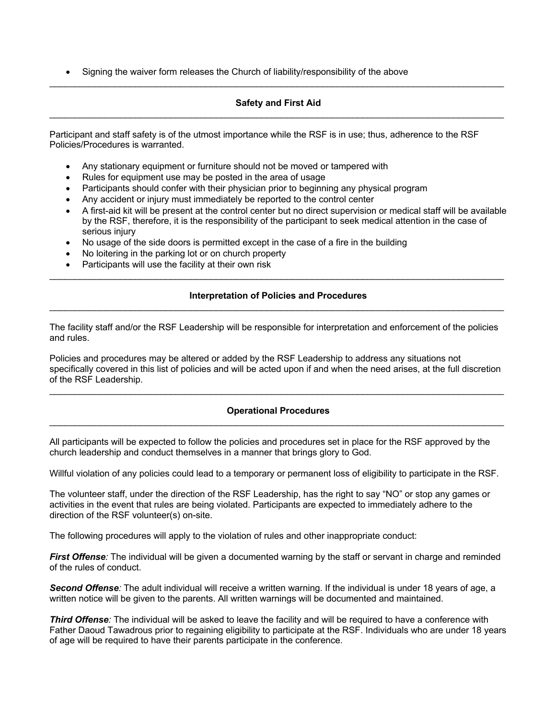• Signing the waiver form releases the Church of liability/responsibility of the above

## **Safety and First Aid**  $\mathcal{L}_\mathcal{L} = \mathcal{L}_\mathcal{L} = \mathcal{L}_\mathcal{L} = \mathcal{L}_\mathcal{L} = \mathcal{L}_\mathcal{L} = \mathcal{L}_\mathcal{L} = \mathcal{L}_\mathcal{L} = \mathcal{L}_\mathcal{L} = \mathcal{L}_\mathcal{L} = \mathcal{L}_\mathcal{L} = \mathcal{L}_\mathcal{L} = \mathcal{L}_\mathcal{L} = \mathcal{L}_\mathcal{L} = \mathcal{L}_\mathcal{L} = \mathcal{L}_\mathcal{L} = \mathcal{L}_\mathcal{L} = \mathcal{L}_\mathcal{L}$

\_\_\_\_\_\_\_\_\_\_\_\_\_\_\_\_\_\_\_\_\_\_\_\_\_\_\_\_\_\_\_\_\_\_\_\_\_\_\_\_\_\_\_\_\_\_\_\_\_\_\_\_\_\_\_\_\_\_\_\_\_\_\_\_\_\_\_\_\_\_\_\_\_\_\_\_\_\_\_\_\_\_\_\_\_\_\_\_\_\_

Participant and staff safety is of the utmost importance while the RSF is in use; thus, adherence to the RSF Policies/Procedures is warranted.

- Any stationary equipment or furniture should not be moved or tampered with
- Rules for equipment use may be posted in the area of usage
- Participants should confer with their physician prior to beginning any physical program
- Any accident or injury must immediately be reported to the control center
- A first-aid kit will be present at the control center but no direct supervision or medical staff will be available by the RSF, therefore, it is the responsibility of the participant to seek medical attention in the case of serious injury
- No usage of the side doors is permitted except in the case of a fire in the building
- No loitering in the parking lot or on church property
- Participants will use the facility at their own risk

## **Interpretation of Policies and Procedures** \_\_\_\_\_\_\_\_\_\_\_\_\_\_\_\_\_\_\_\_\_\_\_\_\_\_\_\_\_\_\_\_\_\_\_\_\_\_\_\_\_\_\_\_\_\_\_\_\_\_\_\_\_\_\_\_\_\_\_\_\_\_\_\_\_\_\_\_\_\_\_\_\_\_\_\_\_\_\_\_\_\_\_\_\_\_\_\_\_\_

 $\mathcal{L}_\mathcal{L} = \mathcal{L}_\mathcal{L} = \mathcal{L}_\mathcal{L} = \mathcal{L}_\mathcal{L} = \mathcal{L}_\mathcal{L} = \mathcal{L}_\mathcal{L} = \mathcal{L}_\mathcal{L} = \mathcal{L}_\mathcal{L} = \mathcal{L}_\mathcal{L} = \mathcal{L}_\mathcal{L} = \mathcal{L}_\mathcal{L} = \mathcal{L}_\mathcal{L} = \mathcal{L}_\mathcal{L} = \mathcal{L}_\mathcal{L} = \mathcal{L}_\mathcal{L} = \mathcal{L}_\mathcal{L} = \mathcal{L}_\mathcal{L}$ 

The facility staff and/or the RSF Leadership will be responsible for interpretation and enforcement of the policies and rules.

Policies and procedures may be altered or added by the RSF Leadership to address any situations not specifically covered in this list of policies and will be acted upon if and when the need arises, at the full discretion of the RSF Leadership.

 $\mathcal{L}_\mathcal{L} = \mathcal{L}_\mathcal{L} = \mathcal{L}_\mathcal{L} = \mathcal{L}_\mathcal{L} = \mathcal{L}_\mathcal{L} = \mathcal{L}_\mathcal{L} = \mathcal{L}_\mathcal{L} = \mathcal{L}_\mathcal{L} = \mathcal{L}_\mathcal{L} = \mathcal{L}_\mathcal{L} = \mathcal{L}_\mathcal{L} = \mathcal{L}_\mathcal{L} = \mathcal{L}_\mathcal{L} = \mathcal{L}_\mathcal{L} = \mathcal{L}_\mathcal{L} = \mathcal{L}_\mathcal{L} = \mathcal{L}_\mathcal{L}$ 

#### **Operational Procedures** \_\_\_\_\_\_\_\_\_\_\_\_\_\_\_\_\_\_\_\_\_\_\_\_\_\_\_\_\_\_\_\_\_\_\_\_\_\_\_\_\_\_\_\_\_\_\_\_\_\_\_\_\_\_\_\_\_\_\_\_\_\_\_\_\_\_\_\_\_\_\_\_\_\_\_\_\_\_\_\_\_\_\_\_\_\_\_\_\_\_

All participants will be expected to follow the policies and procedures set in place for the RSF approved by the church leadership and conduct themselves in a manner that brings glory to God.

Willful violation of any policies could lead to a temporary or permanent loss of eligibility to participate in the RSF.

The volunteer staff, under the direction of the RSF Leadership, has the right to say "NO" or stop any games or activities in the event that rules are being violated. Participants are expected to immediately adhere to the direction of the RSF volunteer(s) on-site.

The following procedures will apply to the violation of rules and other inappropriate conduct:

*First Offense:* The individual will be given a documented warning by the staff or servant in charge and reminded of the rules of conduct.

*Second Offense:* The adult individual will receive a written warning. If the individual is under 18 years of age, a written notice will be given to the parents. All written warnings will be documented and maintained.

*Third Offense:* The individual will be asked to leave the facility and will be required to have a conference with Father Daoud Tawadrous prior to regaining eligibility to participate at the RSF. Individuals who are under 18 years of age will be required to have their parents participate in the conference.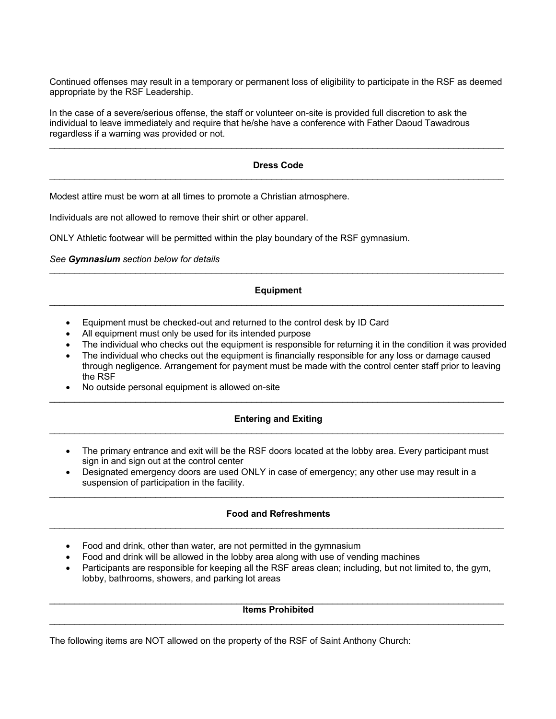Continued offenses may result in a temporary or permanent loss of eligibility to participate in the RSF as deemed appropriate by the RSF Leadership.

In the case of a severe/serious offense, the staff or volunteer on-site is provided full discretion to ask the individual to leave immediately and require that he/she have a conference with Father Daoud Tawadrous regardless if a warning was provided or not.

## **Dress Code** \_\_\_\_\_\_\_\_\_\_\_\_\_\_\_\_\_\_\_\_\_\_\_\_\_\_\_\_\_\_\_\_\_\_\_\_\_\_\_\_\_\_\_\_\_\_\_\_\_\_\_\_\_\_\_\_\_\_\_\_\_\_\_\_\_\_\_\_\_\_\_\_\_\_\_\_\_\_\_\_\_\_\_\_\_\_\_\_\_\_

\_\_\_\_\_\_\_\_\_\_\_\_\_\_\_\_\_\_\_\_\_\_\_\_\_\_\_\_\_\_\_\_\_\_\_\_\_\_\_\_\_\_\_\_\_\_\_\_\_\_\_\_\_\_\_\_\_\_\_\_\_\_\_\_\_\_\_\_\_\_\_\_\_\_\_\_\_\_\_\_\_\_\_\_\_\_\_\_\_\_

Modest attire must be worn at all times to promote a Christian atmosphere.

Individuals are not allowed to remove their shirt or other apparel.

ONLY Athletic footwear will be permitted within the play boundary of the RSF gymnasium.

*See Gymnasium section below for details*

#### **Equipment** \_\_\_\_\_\_\_\_\_\_\_\_\_\_\_\_\_\_\_\_\_\_\_\_\_\_\_\_\_\_\_\_\_\_\_\_\_\_\_\_\_\_\_\_\_\_\_\_\_\_\_\_\_\_\_\_\_\_\_\_\_\_\_\_\_\_\_\_\_\_\_\_\_\_\_\_\_\_\_\_\_\_\_\_\_\_\_\_\_\_

\_\_\_\_\_\_\_\_\_\_\_\_\_\_\_\_\_\_\_\_\_\_\_\_\_\_\_\_\_\_\_\_\_\_\_\_\_\_\_\_\_\_\_\_\_\_\_\_\_\_\_\_\_\_\_\_\_\_\_\_\_\_\_\_\_\_\_\_\_\_\_\_\_\_\_\_\_\_\_\_\_\_\_\_\_\_\_\_\_\_

- Equipment must be checked-out and returned to the control desk by ID Card
- All equipment must only be used for its intended purpose
- The individual who checks out the equipment is responsible for returning it in the condition it was provided
- The individual who checks out the equipment is financially responsible for any loss or damage caused through negligence. Arrangement for payment must be made with the control center staff prior to leaving the RSF
- No outside personal equipment is allowed on-site

#### **Entering and Exiting** \_\_\_\_\_\_\_\_\_\_\_\_\_\_\_\_\_\_\_\_\_\_\_\_\_\_\_\_\_\_\_\_\_\_\_\_\_\_\_\_\_\_\_\_\_\_\_\_\_\_\_\_\_\_\_\_\_\_\_\_\_\_\_\_\_\_\_\_\_\_\_\_\_\_\_\_\_\_\_\_\_\_\_\_\_\_\_\_\_\_

 $\mathcal{L}_\mathcal{L} = \mathcal{L}_\mathcal{L} = \mathcal{L}_\mathcal{L} = \mathcal{L}_\mathcal{L} = \mathcal{L}_\mathcal{L} = \mathcal{L}_\mathcal{L} = \mathcal{L}_\mathcal{L} = \mathcal{L}_\mathcal{L} = \mathcal{L}_\mathcal{L} = \mathcal{L}_\mathcal{L} = \mathcal{L}_\mathcal{L} = \mathcal{L}_\mathcal{L} = \mathcal{L}_\mathcal{L} = \mathcal{L}_\mathcal{L} = \mathcal{L}_\mathcal{L} = \mathcal{L}_\mathcal{L} = \mathcal{L}_\mathcal{L}$ 

- The primary entrance and exit will be the RSF doors located at the lobby area. Every participant must sign in and sign out at the control center
- Designated emergency doors are used ONLY in case of emergency; any other use may result in a suspension of participation in the facility.

## **Food and Refreshments**  $\mathcal{L}_\mathcal{L} = \mathcal{L}_\mathcal{L} = \mathcal{L}_\mathcal{L} = \mathcal{L}_\mathcal{L} = \mathcal{L}_\mathcal{L} = \mathcal{L}_\mathcal{L} = \mathcal{L}_\mathcal{L} = \mathcal{L}_\mathcal{L} = \mathcal{L}_\mathcal{L} = \mathcal{L}_\mathcal{L} = \mathcal{L}_\mathcal{L} = \mathcal{L}_\mathcal{L} = \mathcal{L}_\mathcal{L} = \mathcal{L}_\mathcal{L} = \mathcal{L}_\mathcal{L} = \mathcal{L}_\mathcal{L} = \mathcal{L}_\mathcal{L}$

 $\mathcal{L}_\mathcal{L} = \mathcal{L}_\mathcal{L} = \mathcal{L}_\mathcal{L} = \mathcal{L}_\mathcal{L} = \mathcal{L}_\mathcal{L} = \mathcal{L}_\mathcal{L} = \mathcal{L}_\mathcal{L} = \mathcal{L}_\mathcal{L} = \mathcal{L}_\mathcal{L} = \mathcal{L}_\mathcal{L} = \mathcal{L}_\mathcal{L} = \mathcal{L}_\mathcal{L} = \mathcal{L}_\mathcal{L} = \mathcal{L}_\mathcal{L} = \mathcal{L}_\mathcal{L} = \mathcal{L}_\mathcal{L} = \mathcal{L}_\mathcal{L}$ 

- Food and drink, other than water, are not permitted in the gymnasium
- Food and drink will be allowed in the lobby area along with use of vending machines
- Participants are responsible for keeping all the RSF areas clean; including, but not limited to, the gym, lobby, bathrooms, showers, and parking lot areas

#### $\mathcal{L}_\mathcal{L} = \mathcal{L}_\mathcal{L} = \mathcal{L}_\mathcal{L} = \mathcal{L}_\mathcal{L} = \mathcal{L}_\mathcal{L} = \mathcal{L}_\mathcal{L} = \mathcal{L}_\mathcal{L} = \mathcal{L}_\mathcal{L} = \mathcal{L}_\mathcal{L} = \mathcal{L}_\mathcal{L} = \mathcal{L}_\mathcal{L} = \mathcal{L}_\mathcal{L} = \mathcal{L}_\mathcal{L} = \mathcal{L}_\mathcal{L} = \mathcal{L}_\mathcal{L} = \mathcal{L}_\mathcal{L} = \mathcal{L}_\mathcal{L}$ **Items Prohibited**  $\mathcal{L}_\mathcal{L} = \mathcal{L}_\mathcal{L} = \mathcal{L}_\mathcal{L} = \mathcal{L}_\mathcal{L} = \mathcal{L}_\mathcal{L} = \mathcal{L}_\mathcal{L} = \mathcal{L}_\mathcal{L} = \mathcal{L}_\mathcal{L} = \mathcal{L}_\mathcal{L} = \mathcal{L}_\mathcal{L} = \mathcal{L}_\mathcal{L} = \mathcal{L}_\mathcal{L} = \mathcal{L}_\mathcal{L} = \mathcal{L}_\mathcal{L} = \mathcal{L}_\mathcal{L} = \mathcal{L}_\mathcal{L} = \mathcal{L}_\mathcal{L}$

The following items are NOT allowed on the property of the RSF of Saint Anthony Church: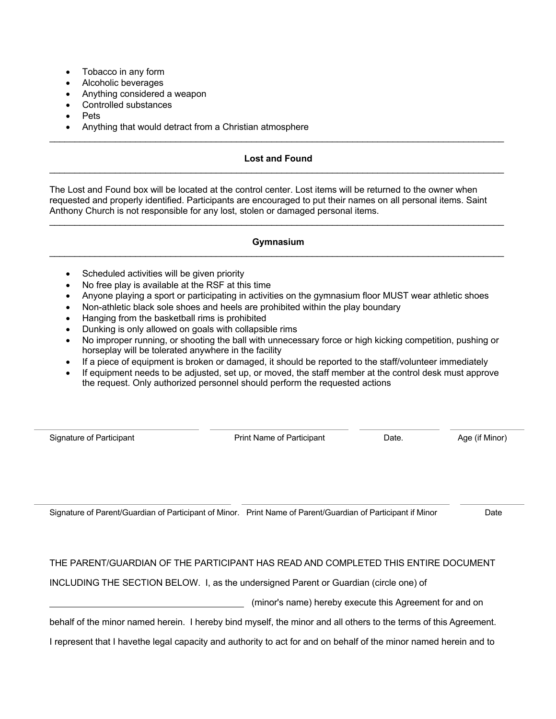- Tobacco in any form
- Alcoholic beverages
- Anything considered a weapon
- Controlled substances
- Pets
- Anything that would detract from a Christian atmosphere

## **Lost and Found** \_\_\_\_\_\_\_\_\_\_\_\_\_\_\_\_\_\_\_\_\_\_\_\_\_\_\_\_\_\_\_\_\_\_\_\_\_\_\_\_\_\_\_\_\_\_\_\_\_\_\_\_\_\_\_\_\_\_\_\_\_\_\_\_\_\_\_\_\_\_\_\_\_\_\_\_\_\_\_\_\_\_\_\_\_\_\_\_\_\_

\_\_\_\_\_\_\_\_\_\_\_\_\_\_\_\_\_\_\_\_\_\_\_\_\_\_\_\_\_\_\_\_\_\_\_\_\_\_\_\_\_\_\_\_\_\_\_\_\_\_\_\_\_\_\_\_\_\_\_\_\_\_\_\_\_\_\_\_\_\_\_\_\_\_\_\_\_\_\_\_\_\_\_\_\_\_\_\_\_\_

The Lost and Found box will be located at the control center. Lost items will be returned to the owner when requested and properly identified. Participants are encouraged to put their names on all personal items. Saint Anthony Church is not responsible for any lost, stolen or damaged personal items.

#### **Gymnasium** \_\_\_\_\_\_\_\_\_\_\_\_\_\_\_\_\_\_\_\_\_\_\_\_\_\_\_\_\_\_\_\_\_\_\_\_\_\_\_\_\_\_\_\_\_\_\_\_\_\_\_\_\_\_\_\_\_\_\_\_\_\_\_\_\_\_\_\_\_\_\_\_\_\_\_\_\_\_\_\_\_\_\_\_\_\_\_\_\_\_

 $\mathcal{L}_\mathcal{L} = \mathcal{L}_\mathcal{L} = \mathcal{L}_\mathcal{L} = \mathcal{L}_\mathcal{L} = \mathcal{L}_\mathcal{L} = \mathcal{L}_\mathcal{L} = \mathcal{L}_\mathcal{L} = \mathcal{L}_\mathcal{L} = \mathcal{L}_\mathcal{L} = \mathcal{L}_\mathcal{L} = \mathcal{L}_\mathcal{L} = \mathcal{L}_\mathcal{L} = \mathcal{L}_\mathcal{L} = \mathcal{L}_\mathcal{L} = \mathcal{L}_\mathcal{L} = \mathcal{L}_\mathcal{L} = \mathcal{L}_\mathcal{L}$ 

- Scheduled activities will be given priority
- No free play is available at the RSF at this time
- Anyone playing a sport or participating in activities on the gymnasium floor MUST wear athletic shoes
- Non-athletic black sole shoes and heels are prohibited within the play boundary
- Hanging from the basketball rims is prohibited
- Dunking is only allowed on goals with collapsible rims
- No improper running, or shooting the ball with unnecessary force or high kicking competition, pushing or horseplay will be tolerated anywhere in the facility
- If a piece of equipment is broken or damaged, it should be reported to the staff/volunteer immediately
- If equipment needs to be adjusted, set up, or moved, the staff member at the control desk must approve the request. Only authorized personnel should perform the requested actions

Signature of Participant **Print Name of Participant** Date. Age (if Minor)

Signature of Parent/Guardian of Participant of Minor. Print Name of Parent/Guardian of Participant if Minor Date

## THE PARENT/GUARDIAN OF THE PARTICIPANT HAS READ AND COMPLETED THIS ENTIRE DOCUMENT

INCLUDING THE SECTION BELOW. I, as the undersigned Parent or Guardian (circle one) of

(minor's name) hereby execute this Agreement for and on

behalf of the minor named herein. I hereby bind myself, the minor and all others to the terms of this Agreement.

I represent that I havethe legal capacity and authority to act for and on behalf of the minor named herein and to